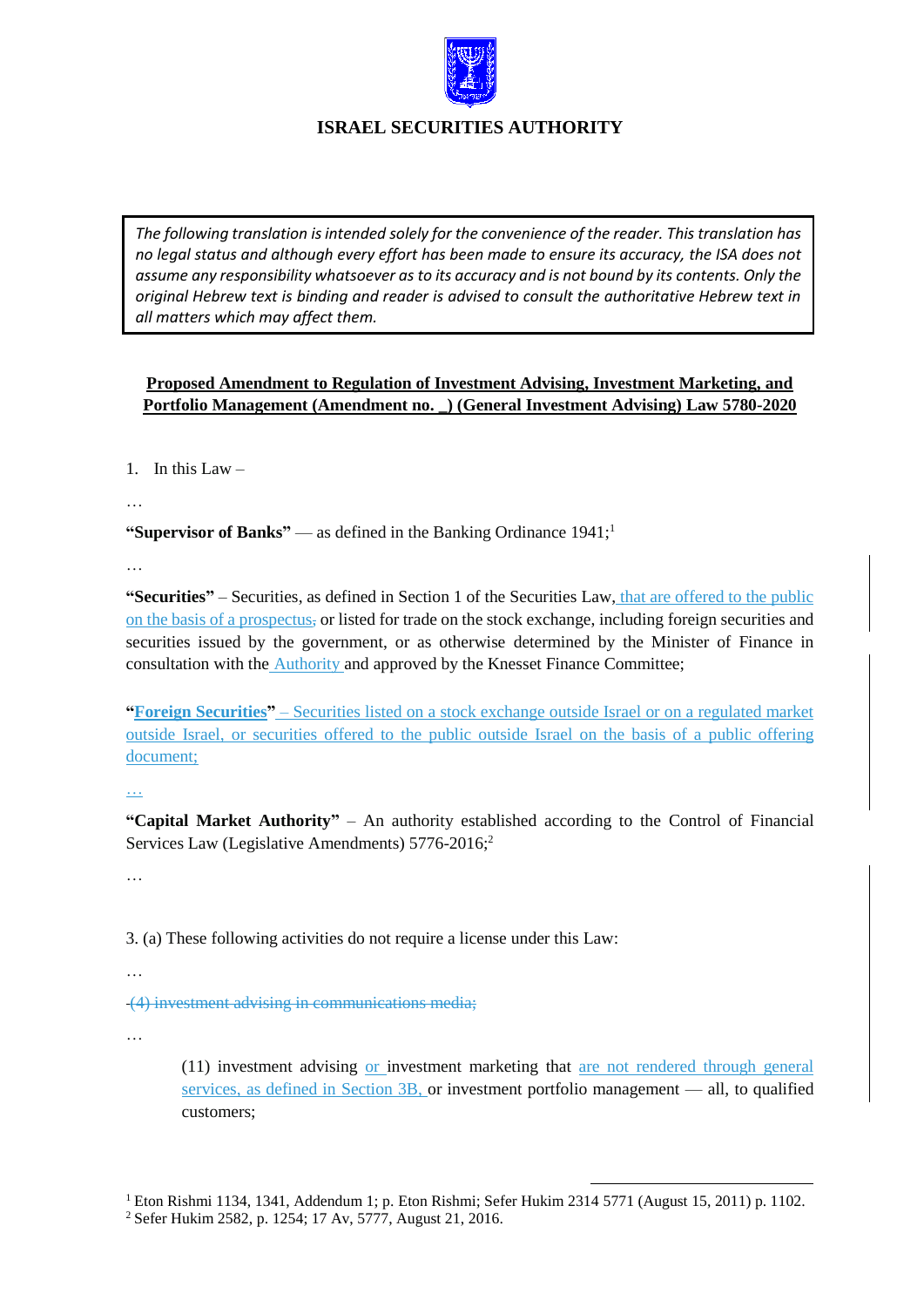

*The following translation is intended solely for the convenience of the reader. This translation has no legal status and although every effort has been made to ensure its accuracy, the ISA does not assume any responsibility whatsoever as to its accuracy and is not bound by its contents. Only the original Hebrew text is binding and reader is advised to consult the authoritative Hebrew text in all matters which may affect them.*

# **Proposed Amendment to Regulation of Investment Advising, Investment Marketing, and Portfolio Management (Amendment no. \_) (General Investment Advising) Law 5780-2020**

1. In this Law  $-$ 

…

**"Supervisor of Banks"** — as defined in the Banking Ordinance 1941;<sup>1</sup>

…

**"Securities"** – Securities, as defined in Section 1 of the Securities Law, that are offered to the public on the basis of a prospectus, or listed for trade on the stock exchange, including foreign securities and securities issued by the government, or as otherwise determined by the Minister of Finance in consultation with the Authority and approved by the Knesset Finance Committee;

**"Foreign Securities"** – Securities listed on a stock exchange outside Israel or on a regulated market outside Israel, or securities offered to the public outside Israel on the basis of a public offering document;

…

**"Capital Market Authority"** – An authority established according to the Control of Financial Services Law (Legislative Amendments) 5776-2016;<sup>2</sup>

…

3. (a) These following activities do not require a license under this Law:

…

(4) investment advising in communications media;

…

(11) investment advising or investment marketing that are not rendered through general services, as defined in Section 3B, or investment portfolio management — all, to qualified customers;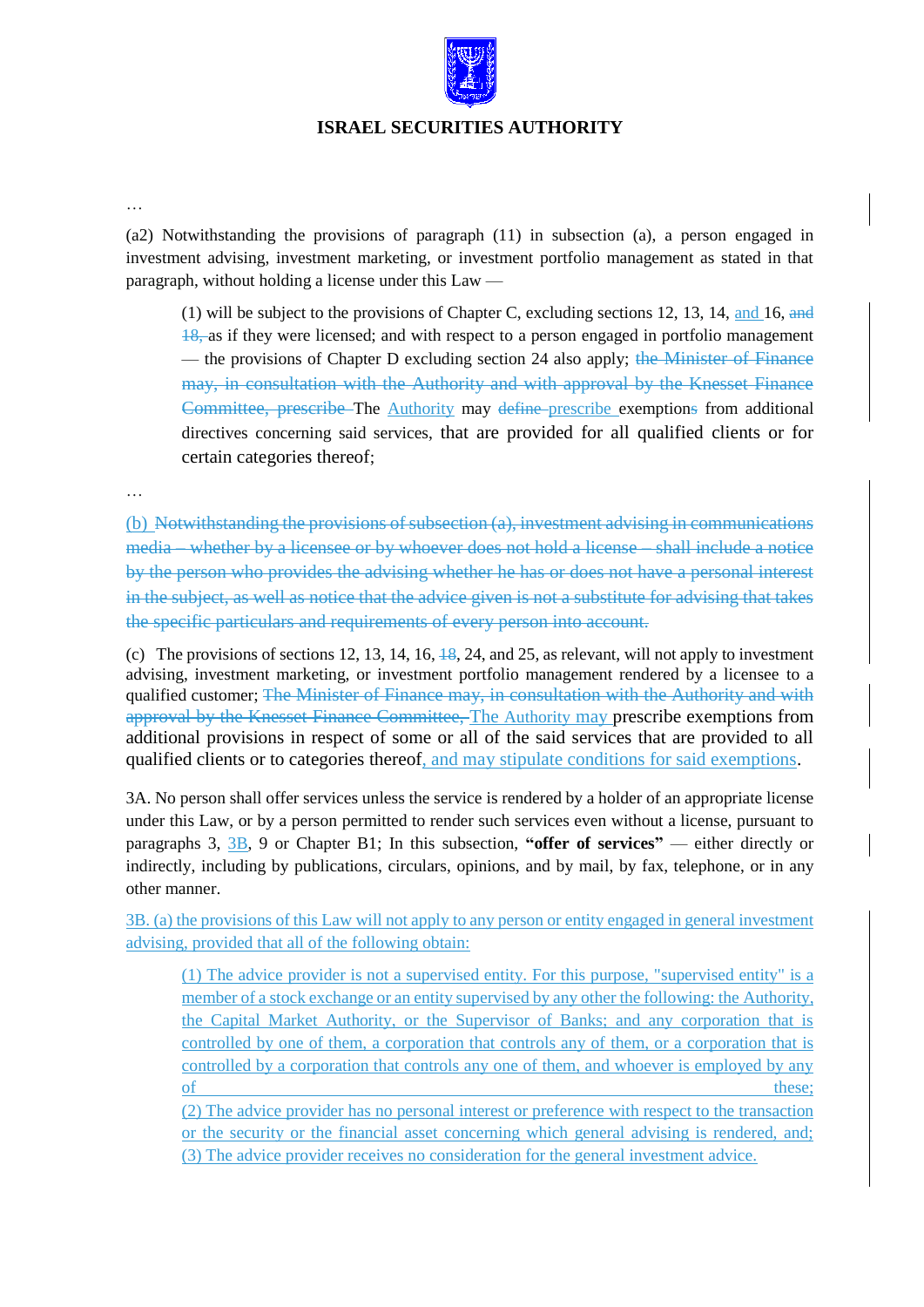

…

(a2) Notwithstanding the provisions of paragraph (11) in subsection (a), a person engaged in investment advising, investment marketing, or investment portfolio management as stated in that paragraph, without holding a license under this Law —

(1) will be subject to the provisions of Chapter C, excluding sections 12, 13, 14, and 16, and 18, as if they were licensed; and with respect to a person engaged in portfolio management — the provisions of Chapter D excluding section 24 also apply; the Minister of Finance may, in consultation with the Authority and with approval by the Knesset Finance Committee, prescribe The Authority may define prescribe exemptions from additional directives concerning said services, that are provided for all qualified clients or for certain categories thereof;

…

(b) Notwithstanding the provisions of subsection (a), investment advising in communications media – whether by a licensee or by whoever does not hold a license – shall include a notice by the person who provides the advising whether he has or does not have a personal interest in the subject, as well as notice that the advice given is not a substitute for advising that takes the specific particulars and requirements of every person into account.

(c) The provisions of sections 12, 13, 14, 16,  $\frac{18}{3}$ , 24, and 25, as relevant, will not apply to investment advising, investment marketing, or investment portfolio management rendered by a licensee to a qualified customer; The Minister of Finance may, in consultation with the Authority and with approval by the Knesset Finance Committee, The Authority may prescribe exemptions from additional provisions in respect of some or all of the said services that are provided to all qualified clients or to categories thereof, and may stipulate conditions for said exemptions.

3A. No person shall offer services unless the service is rendered by a holder of an appropriate license under this Law, or by a person permitted to render such services even without a license, pursuant to paragraphs 3, 3B, 9 or Chapter B1; In this subsection, **"offer of services"** — either directly or indirectly, including by publications, circulars, opinions, and by mail, by fax, telephone, or in any other manner.

3B. (a) the provisions of this Law will not apply to any person or entity engaged in general investment advising, provided that all of the following obtain:

(1) The advice provider is not a supervised entity. For this purpose, "supervised entity" is a member of a stock exchange or an entity supervised by any other the following: the Authority, the Capital Market Authority, or the Supervisor of Banks; and any corporation that is controlled by one of them, a corporation that controls any of them, or a corporation that is controlled by a corporation that controls any one of them, and whoever is employed by any of these;

(2) The advice provider has no personal interest or preference with respect to the transaction or the security or the financial asset concerning which general advising is rendered, and; (3) The advice provider receives no consideration for the general investment advice.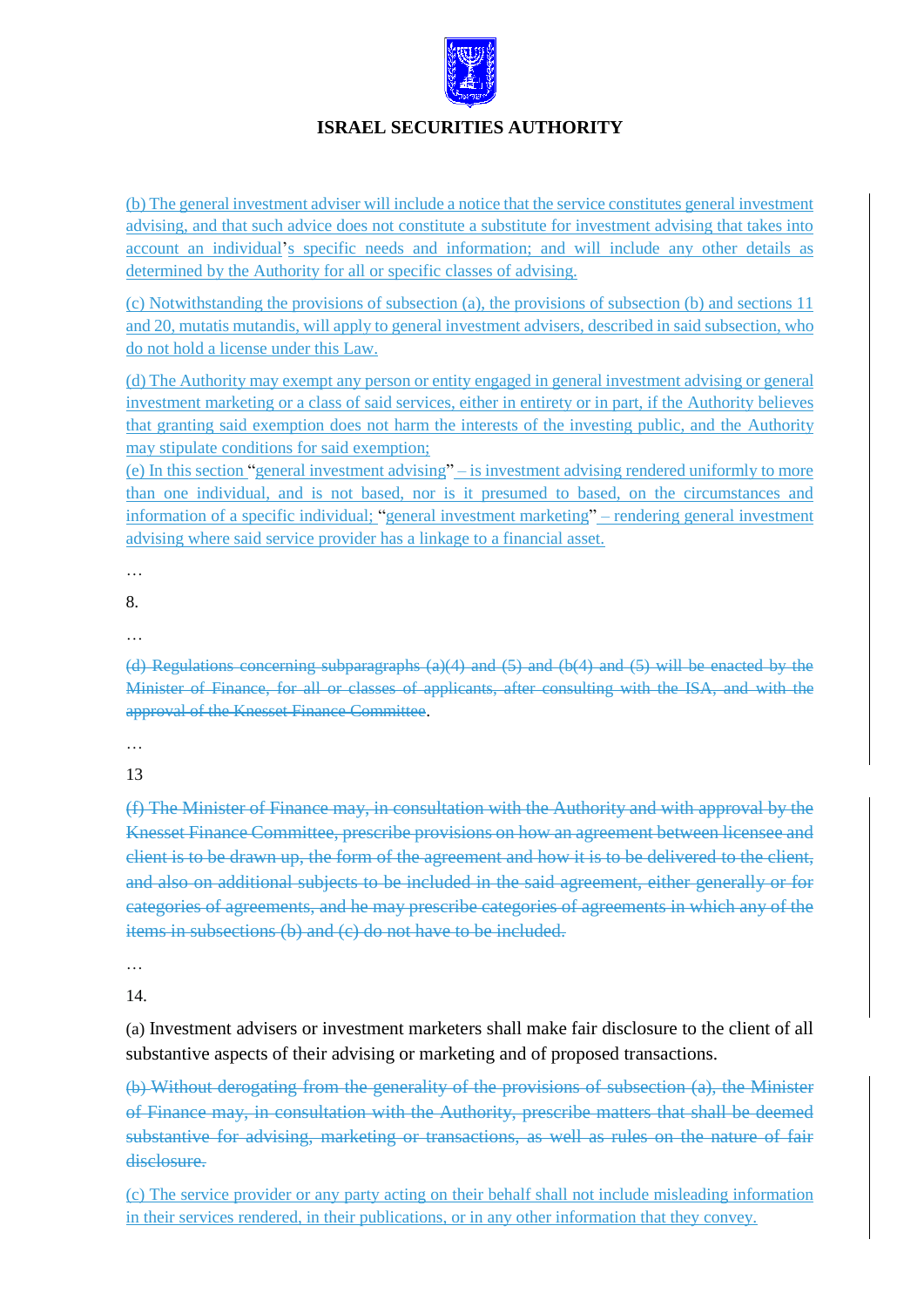

(b) The general investment adviser will include a notice that the service constitutes general investment advising, and that such advice does not constitute a substitute for investment advising that takes into account an individual's specific needs and information; and will include any other details as determined by the Authority for all or specific classes of advising.

(c) Notwithstanding the provisions of subsection (a), the provisions of subsection (b) and sections 11 and 20, mutatis mutandis, will apply to general investment advisers, described in said subsection, who do not hold a license under this Law.

(d) The Authority may exempt any person or entity engaged in general investment advising or general investment marketing or a class of said services, either in entirety or in part, if the Authority believes that granting said exemption does not harm the interests of the investing public, and the Authority may stipulate conditions for said exemption;

(e) In this section "general investment advising" – is investment advising rendered uniformly to more than one individual, and is not based, nor is it presumed to based, on the circumstances and information of a specific individual; "general investment marketing" – rendering general investment advising where said service provider has a linkage to a financial asset.

…

8.

…

(d) Regulations concerning subparagraphs (a)(4) and (5) and (b(4) and (5) will be enacted by the Minister of Finance, for all or classes of applicants, after consulting with the ISA, and with the approval of the Knesset Finance Committee.

…

13

(f) The Minister of Finance may, in consultation with the Authority and with approval by the Knesset Finance Committee, prescribe provisions on how an agreement between licensee and client is to be drawn up, the form of the agreement and how it is to be delivered to the client, and also on additional subjects to be included in the said agreement, either generally or for categories of agreements, and he may prescribe categories of agreements in which any of the items in subsections (b) and (c) do not have to be included.

…

14.

(a) Investment advisers or investment marketers shall make fair disclosure to the client of all substantive aspects of their advising or marketing and of proposed transactions.

(b) Without derogating from the generality of the provisions of subsection (a), the Minister of Finance may, in consultation with the Authority, prescribe matters that shall be deemed substantive for advising, marketing or transactions, as well as rules on the nature of fair disclosure.

(c) The service provider or any party acting on their behalf shall not include misleading information in their services rendered, in their publications, or in any other information that they convey.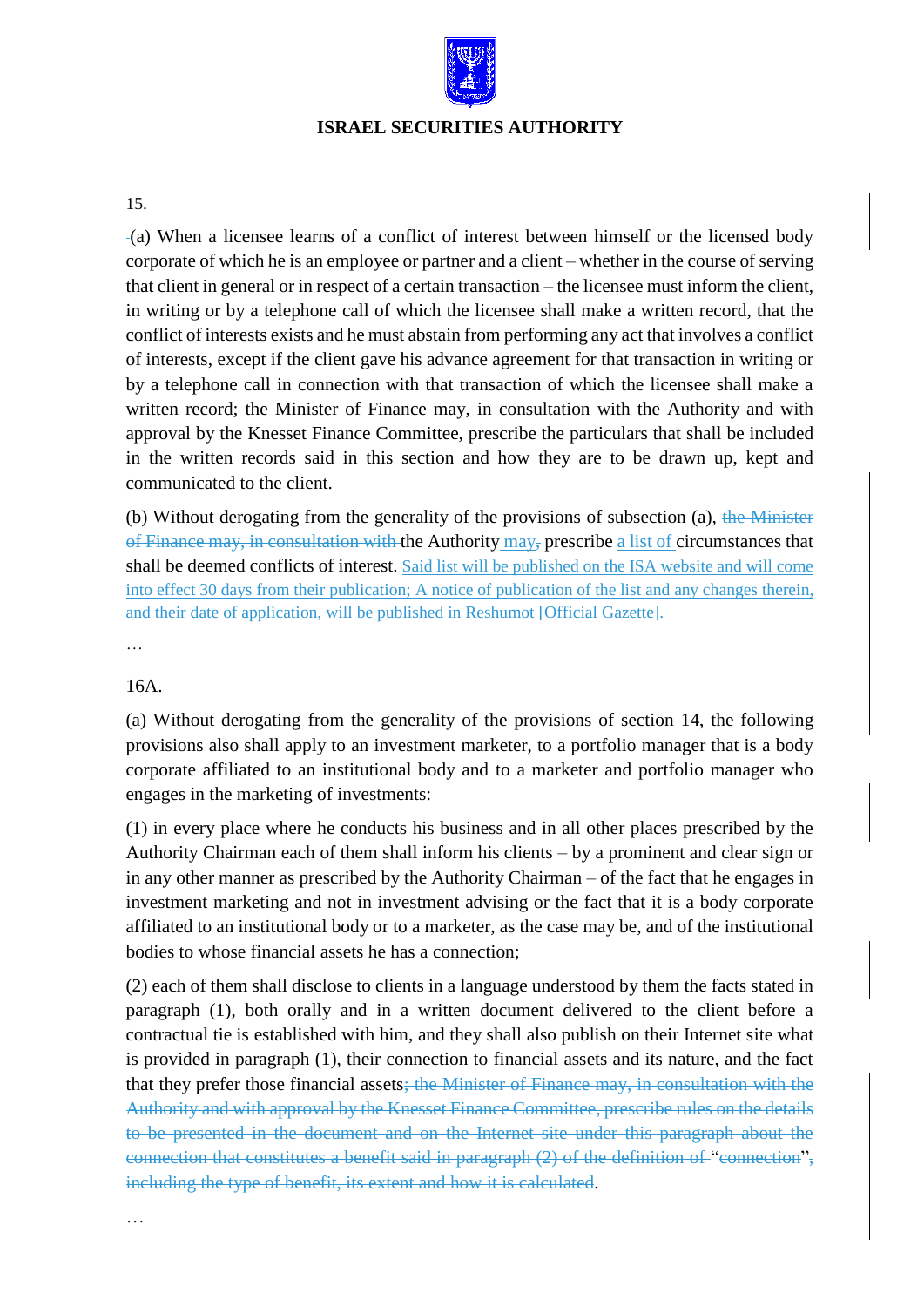

### 15.

(a) When a licensee learns of a conflict of interest between himself or the licensed body corporate of which he is an employee or partner and a client – whether in the course of serving that client in general or in respect of a certain transaction – the licensee must inform the client, in writing or by a telephone call of which the licensee shall make a written record, that the conflict of interests exists and he must abstain from performing any act that involves a conflict of interests, except if the client gave his advance agreement for that transaction in writing or by a telephone call in connection with that transaction of which the licensee shall make a written record; the Minister of Finance may, in consultation with the Authority and with approval by the Knesset Finance Committee, prescribe the particulars that shall be included in the written records said in this section and how they are to be drawn up, kept and communicated to the client.

(b) Without derogating from the generality of the provisions of subsection (a), the Minister of Finance may, in consultation with the Authority may, prescribe a list of circumstances that shall be deemed conflicts of interest. Said list will be published on the ISA website and will come into effect 30 days from their publication; A notice of publication of the list and any changes therein, and their date of application, will be published in Reshumot [Official Gazette].

…

### 16A.

(a) Without derogating from the generality of the provisions of section 14, the following provisions also shall apply to an investment marketer, to a portfolio manager that is a body corporate affiliated to an institutional body and to a marketer and portfolio manager who engages in the marketing of investments:

(1) in every place where he conducts his business and in all other places prescribed by the Authority Chairman each of them shall inform his clients – by a prominent and clear sign or in any other manner as prescribed by the Authority Chairman – of the fact that he engages in investment marketing and not in investment advising or the fact that it is a body corporate affiliated to an institutional body or to a marketer, as the case may be, and of the institutional bodies to whose financial assets he has a connection;

(2) each of them shall disclose to clients in a language understood by them the facts stated in paragraph (1), both orally and in a written document delivered to the client before a contractual tie is established with him, and they shall also publish on their Internet site what is provided in paragraph (1), their connection to financial assets and its nature, and the fact that they prefer those financial assets; the Minister of Finance may, in consultation with the Authority and with approval by the Knesset Finance Committee, prescribe rules on the details to be presented in the document and on the Internet site under this paragraph about the connection that constitutes a benefit said in paragraph (2) of the definition of "connection", including the type of benefit, its extent and how it is calculated.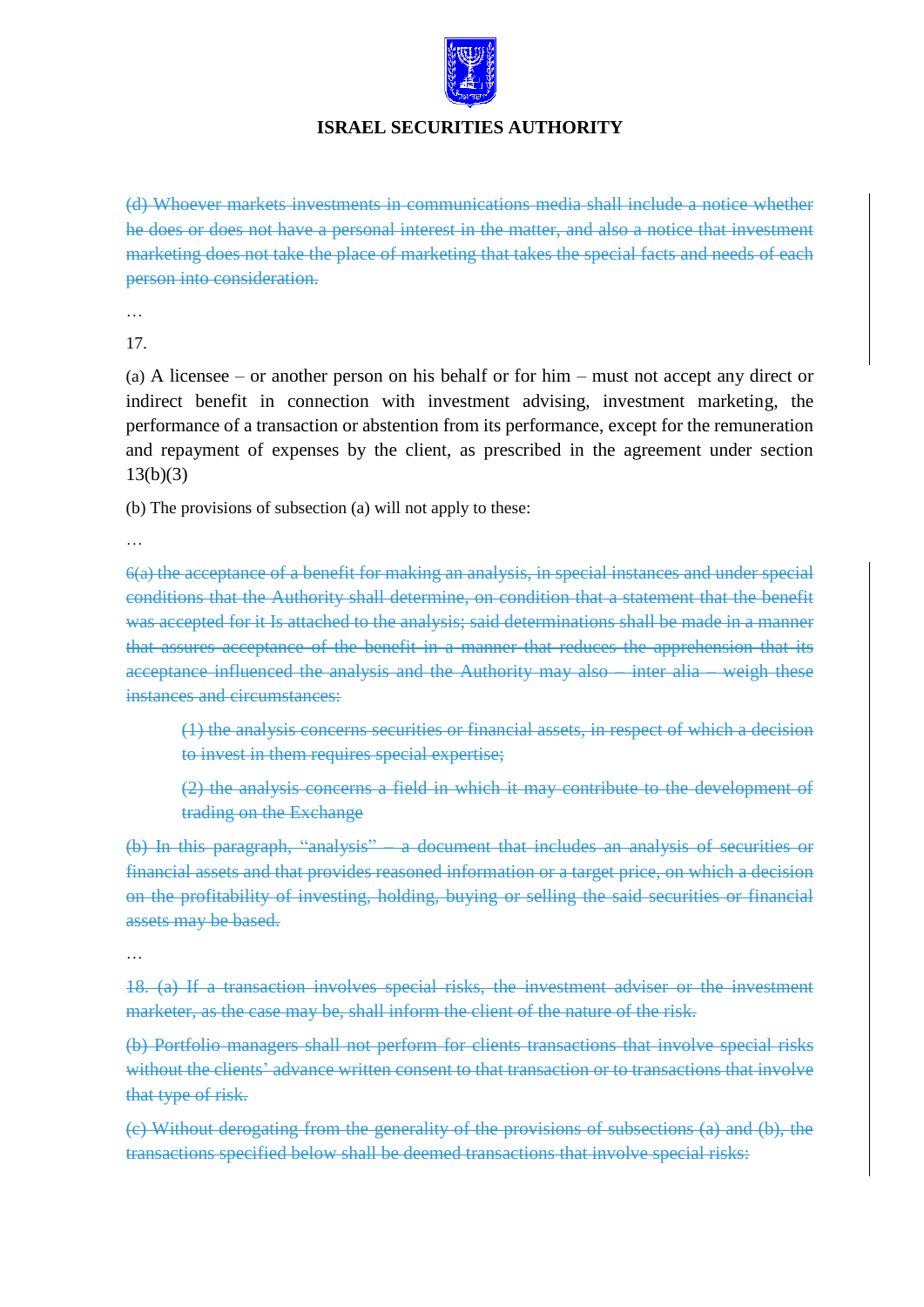

(d) Whoever markets investments in communications media shall include a notice whether he does or does not have a personal interest in the matter, and also a notice that investment marketing does not take the place of marketing that takes the special facts and needs of each person into consideration.

…

17.

(a) A licensee – or another person on his behalf or for him – must not accept any direct or indirect benefit in connection with investment advising, investment marketing, the performance of a transaction or abstention from its performance, except for the remuneration and repayment of expenses by the client, as prescribed in the agreement under section 13(b)(3)

(b) The provisions of subsection (a) will not apply to these:

…

6(a) the acceptance of a benefit for making an analysis, in special instances and under special conditions that the Authority shall determine, on condition that a statement that the benefit was accepted for it Is attached to the analysis; said determinations shall be made in a manner that assures acceptance of the benefit in a manner that reduces the apprehension that its acceptance influenced the analysis and the Authority may also – inter alia – weigh these instances and circumstances:

(1) the analysis concerns securities or financial assets, in respect of which a decision to invest in them requires special expertise;

(2) the analysis concerns a field in which it may contribute to the development of trading on the Exchange

(b) In this paragraph, "analysis" – a document that includes an analysis of securities or financial assets and that provides reasoned information or a target price, on which a decision on the profitability of investing, holding, buying or selling the said securities or financial assets may be based.

…

18. (a) If a transaction involves special risks, the investment adviser or the investment marketer, as the case may be, shall inform the client of the nature of the risk.

(b) Portfolio managers shall not perform for clients transactions that involve special risks without the clients' advance written consent to that transaction or to transactions that involve that type of risk.

(c) Without derogating from the generality of the provisions of subsections (a) and (b), the transactions specified below shall be deemed transactions that involve special risks: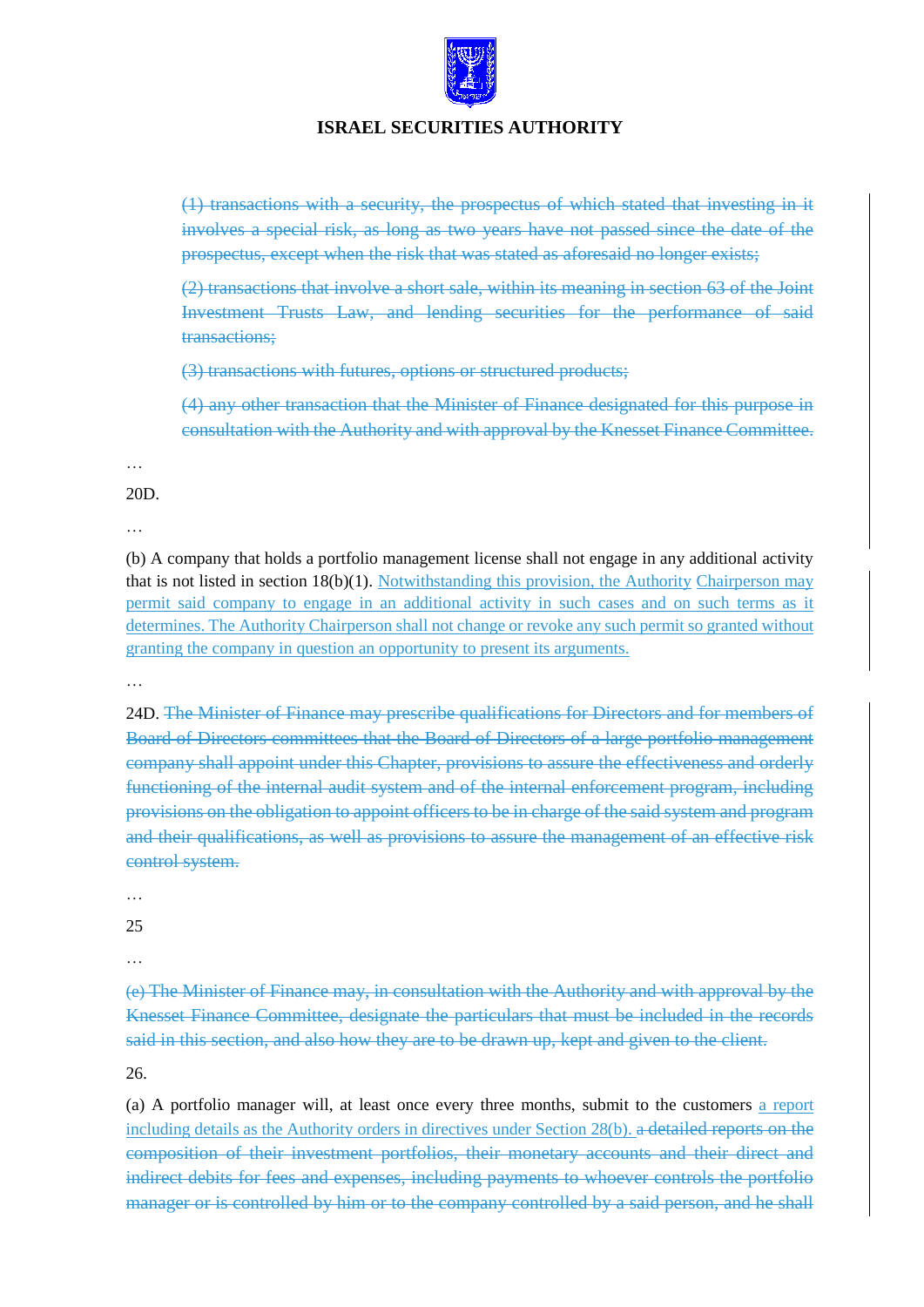

(1) transactions with a security, the prospectus of which stated that investing in it involves a special risk, as long as two years have not passed since the date of the prospectus, except when the risk that was stated as aforesaid no longer exists;

(2) transactions that involve a short sale, within its meaning in section 63 of the Joint Investment Trusts Law, and lending securities for the performance of said transactions;

(3) transactions with futures, options or structured products;

(4) any other transaction that the Minister of Finance designated for this purpose in consultation with the Authority and with approval by the Knesset Finance Committee.

…

20D.

…

(b) A company that holds a portfolio management license shall not engage in any additional activity that is not listed in section 18(b)(1). Notwithstanding this provision, the Authority Chairperson may permit said company to engage in an additional activity in such cases and on such terms as it determines. The Authority Chairperson shall not change or revoke any such permit so granted without granting the company in question an opportunity to present its arguments.

…

24D. The Minister of Finance may prescribe qualifications for Directors and for members of Board of Directors committees that the Board of Directors of a large portfolio management company shall appoint under this Chapter, provisions to assure the effectiveness and orderly functioning of the internal audit system and of the internal enforcement program, including provisions on the obligation to appoint officers to be in charge of the said system and program and their qualifications, as well as provisions to assure the management of an effective risk control system.

…

25

…

(e) The Minister of Finance may, in consultation with the Authority and with approval by the Knesset Finance Committee, designate the particulars that must be included in the records said in this section, and also how they are to be drawn up, kept and given to the client.

26.

(a) A portfolio manager will, at least once every three months, submit to the customers a report including details as the Authority orders in directives under Section 28(b). a detailed reports on the composition of their investment portfolios, their monetary accounts and their direct and indirect debits for fees and expenses, including payments to whoever controls the portfolio manager or is controlled by him or to the company controlled by a said person, and he shall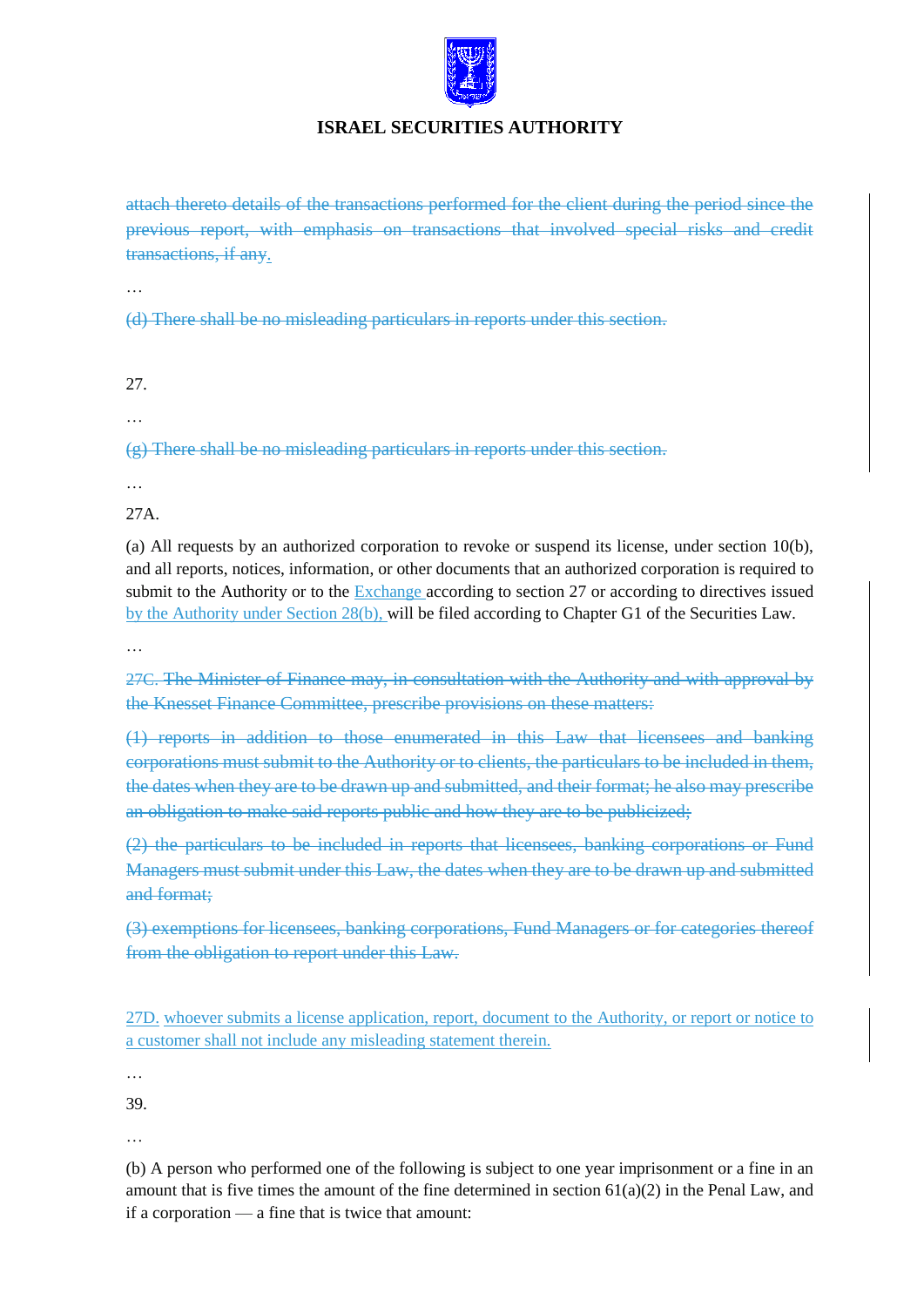

attach thereto details of the transactions performed for the client during the period since the previous report, with emphasis on transactions that involved special risks and credit transactions, if any.

…

(d) There shall be no misleading particulars in reports under this section.

- 27.
- …

(g) There shall be no misleading particulars in reports under this section.

…

27A.

(a) All requests by an authorized corporation to revoke or suspend its license, under section 10(b), and all reports, notices, information, or other documents that an authorized corporation is required to submit to the Authority or to the Exchange according to section 27 or according to directives issued by the Authority under Section 28(b), will be filed according to Chapter G1 of the Securities Law.

…

27C. The Minister of Finance may, in consultation with the Authority and with approval by the Knesset Finance Committee, prescribe provisions on these matters:

(1) reports in addition to those enumerated in this Law that licensees and banking corporations must submit to the Authority or to clients, the particulars to be included in them, the dates when they are to be drawn up and submitted, and their format; he also may prescribe an obligation to make said reports public and how they are to be publicized;

(2) the particulars to be included in reports that licensees, banking corporations or Fund Managers must submit under this Law, the dates when they are to be drawn up and submitted and format;

(3) exemptions for licensees, banking corporations, Fund Managers or for categories thereof from the obligation to report under this Law.

27D. whoever submits a license application, report, document to the Authority, or report or notice to a customer shall not include any misleading statement therein.

…

39.

…

(b) A person who performed one of the following is subject to one year imprisonment or a fine in an amount that is five times the amount of the fine determined in section  $61(a)(2)$  in the Penal Law, and if a corporation — a fine that is twice that amount: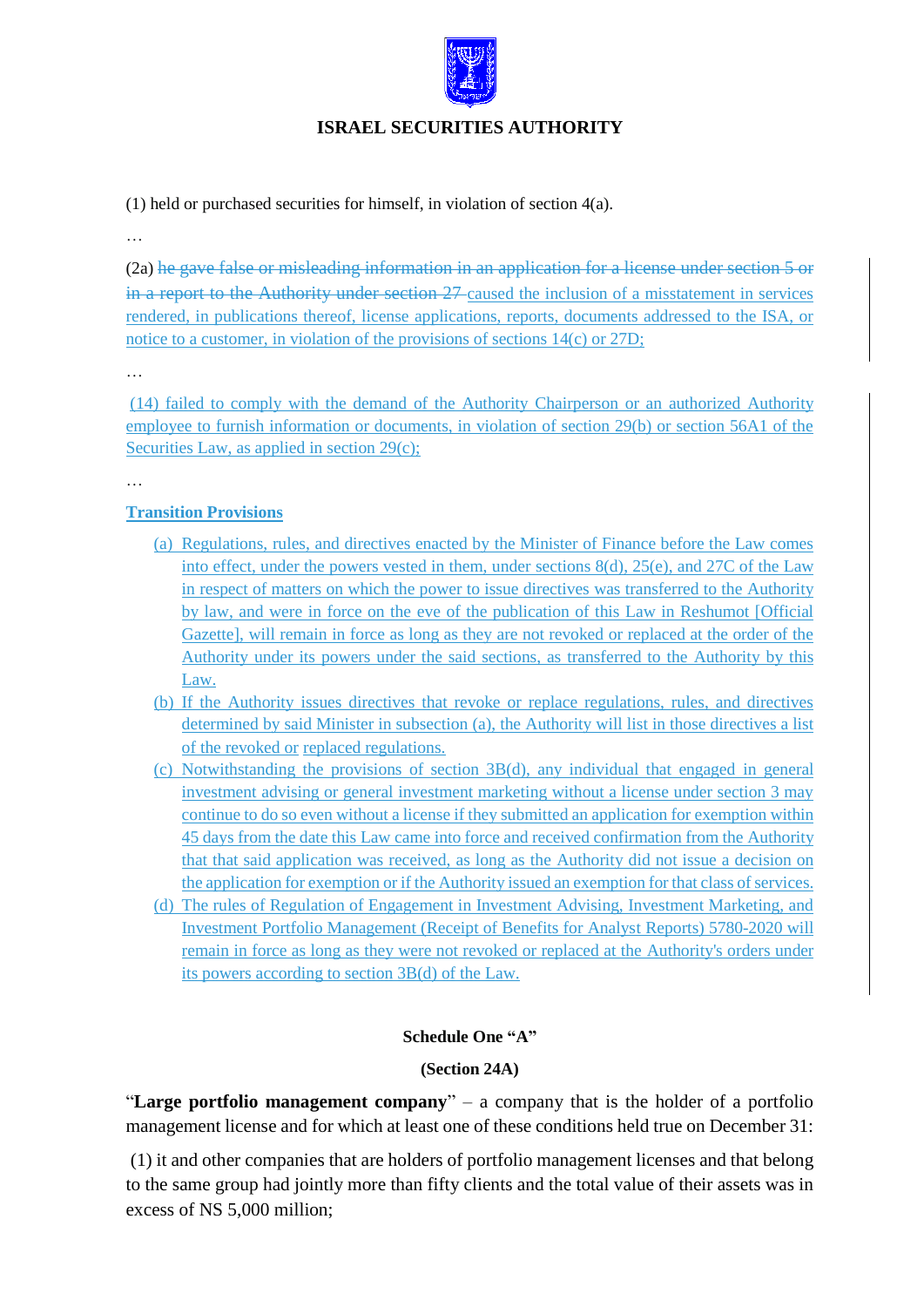

(1) held or purchased securities for himself, in violation of section 4(a).

…

(2a) he gave false or misleading information in an application for a license under section 5 or in a report to the Authority under section 27-caused the inclusion of a misstatement in services rendered, in publications thereof, license applications, reports, documents addressed to the ISA, or notice to a customer, in violation of the provisions of sections 14(c) or 27D;

…

(14) failed to comply with the demand of the Authority Chairperson or an authorized Authority employee to furnish information or documents, in violation of section 29(b) or section 56A1 of the Securities Law, as applied in section 29(c);

…

## **Transition Provisions**

- (a) Regulations, rules, and directives enacted by the Minister of Finance before the Law comes into effect, under the powers vested in them, under sections 8(d), 25(e), and 27C of the Law in respect of matters on which the power to issue directives was transferred to the Authority by law, and were in force on the eve of the publication of this Law in Reshumot [Official Gazette], will remain in force as long as they are not revoked or replaced at the order of the Authority under its powers under the said sections, as transferred to the Authority by this Law.
- (b) If the Authority issues directives that revoke or replace regulations, rules, and directives determined by said Minister in subsection (a), the Authority will list in those directives a list of the revoked or replaced regulations.
- (c) Notwithstanding the provisions of section 3B(d), any individual that engaged in general investment advising or general investment marketing without a license under section 3 may continue to do so even without a license if they submitted an application for exemption within 45 days from the date this Law came into force and received confirmation from the Authority that that said application was received, as long as the Authority did not issue a decision on the application for exemption or if the Authority issued an exemption for that class of services.
- (d) The rules of Regulation of Engagement in Investment Advising, Investment Marketing, and Investment Portfolio Management (Receipt of Benefits for Analyst Reports) 5780-2020 will remain in force as long as they were not revoked or replaced at the Authority's orders under its powers according to section 3B(d) of the Law.

## **Schedule One "A"**

### **(Section 24A)**

"**Large portfolio management company**" – a company that is the holder of a portfolio management license and for which at least one of these conditions held true on December 31:

(1) it and other companies that are holders of portfolio management licenses and that belong to the same group had jointly more than fifty clients and the total value of their assets was in excess of NS 5,000 million;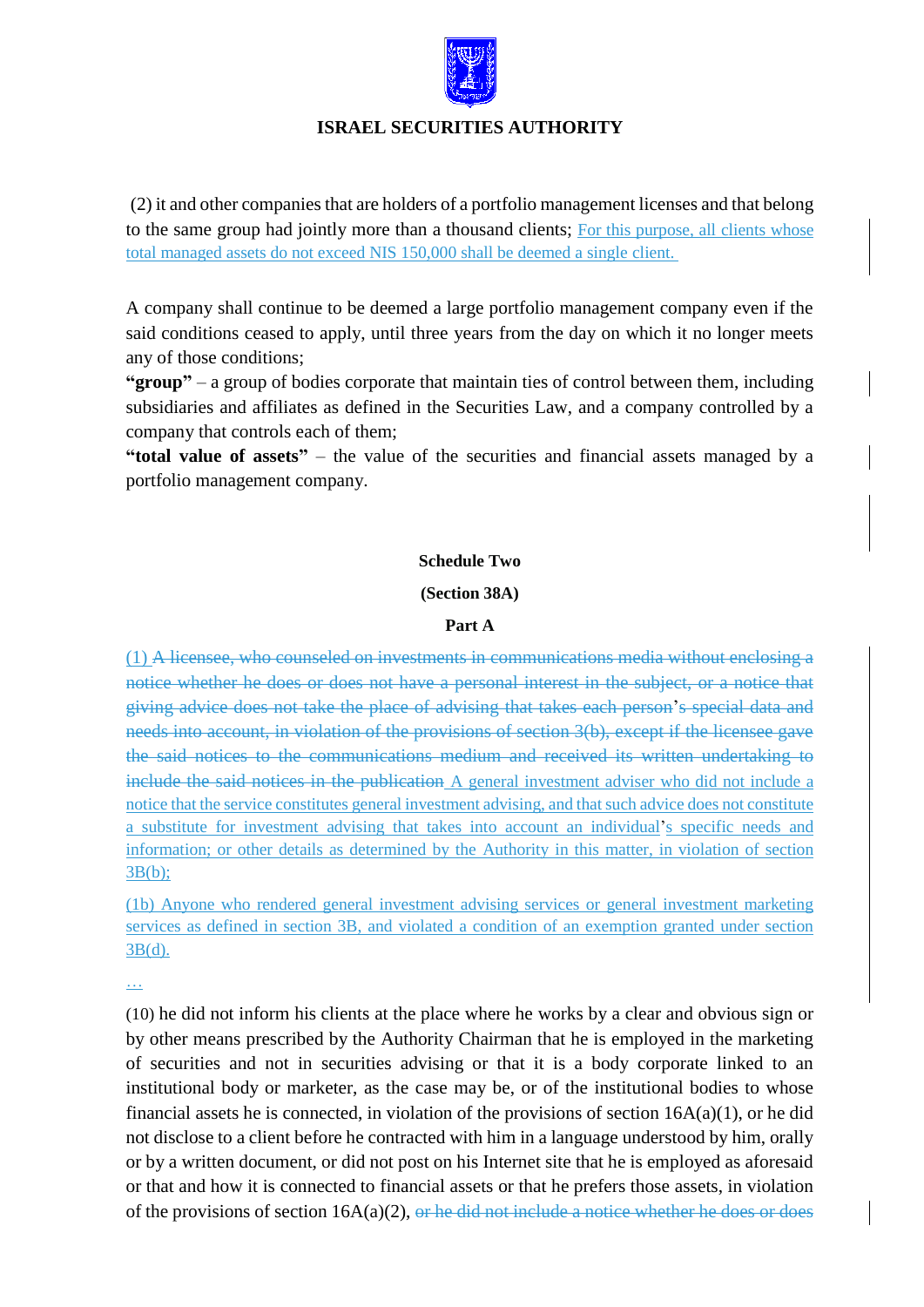

(2) it and other companies that are holders of a portfolio management licenses and that belong to the same group had jointly more than a thousand clients; For this purpose, all clients whose total managed assets do not exceed NIS 150,000 shall be deemed a single client.

A company shall continue to be deemed a large portfolio management company even if the said conditions ceased to apply, until three years from the day on which it no longer meets any of those conditions;

**"group"** – a group of bodies corporate that maintain ties of control between them, including subsidiaries and affiliates as defined in the Securities Law, and a company controlled by a company that controls each of them;

**"total value of assets"** – the value of the securities and financial assets managed by a portfolio management company.

#### **Schedule Two**

#### **(Section 38A)**

### **Part A**

(1) A licensee, who counseled on investments in communications media without enclosing a notice whether he does or does not have a personal interest in the subject, or a notice that giving advice does not take the place of advising that takes each person's special data and needs into account, in violation of the provisions of section 3(b), except if the licensee gave the said notices to the communications medium and received its written undertaking to include the said notices in the publication A general investment adviser who did not include a notice that the service constitutes general investment advising, and that such advice does not constitute a substitute for investment advising that takes into account an individual's specific needs and information; or other details as determined by the Authority in this matter, in violation of section 3B(b);

(1b) Anyone who rendered general investment advising services or general investment marketing services as defined in section 3B, and violated a condition of an exemption granted under section 3B(d).

…

(10) he did not inform his clients at the place where he works by a clear and obvious sign or by other means prescribed by the Authority Chairman that he is employed in the marketing of securities and not in securities advising or that it is a body corporate linked to an institutional body or marketer, as the case may be, or of the institutional bodies to whose financial assets he is connected, in violation of the provisions of section  $16A(a)(1)$ , or he did not disclose to a client before he contracted with him in a language understood by him, orally or by a written document, or did not post on his Internet site that he is employed as aforesaid or that and how it is connected to financial assets or that he prefers those assets, in violation of the provisions of section  $16A(a)(2)$ , or he did not include a notice whether he does or does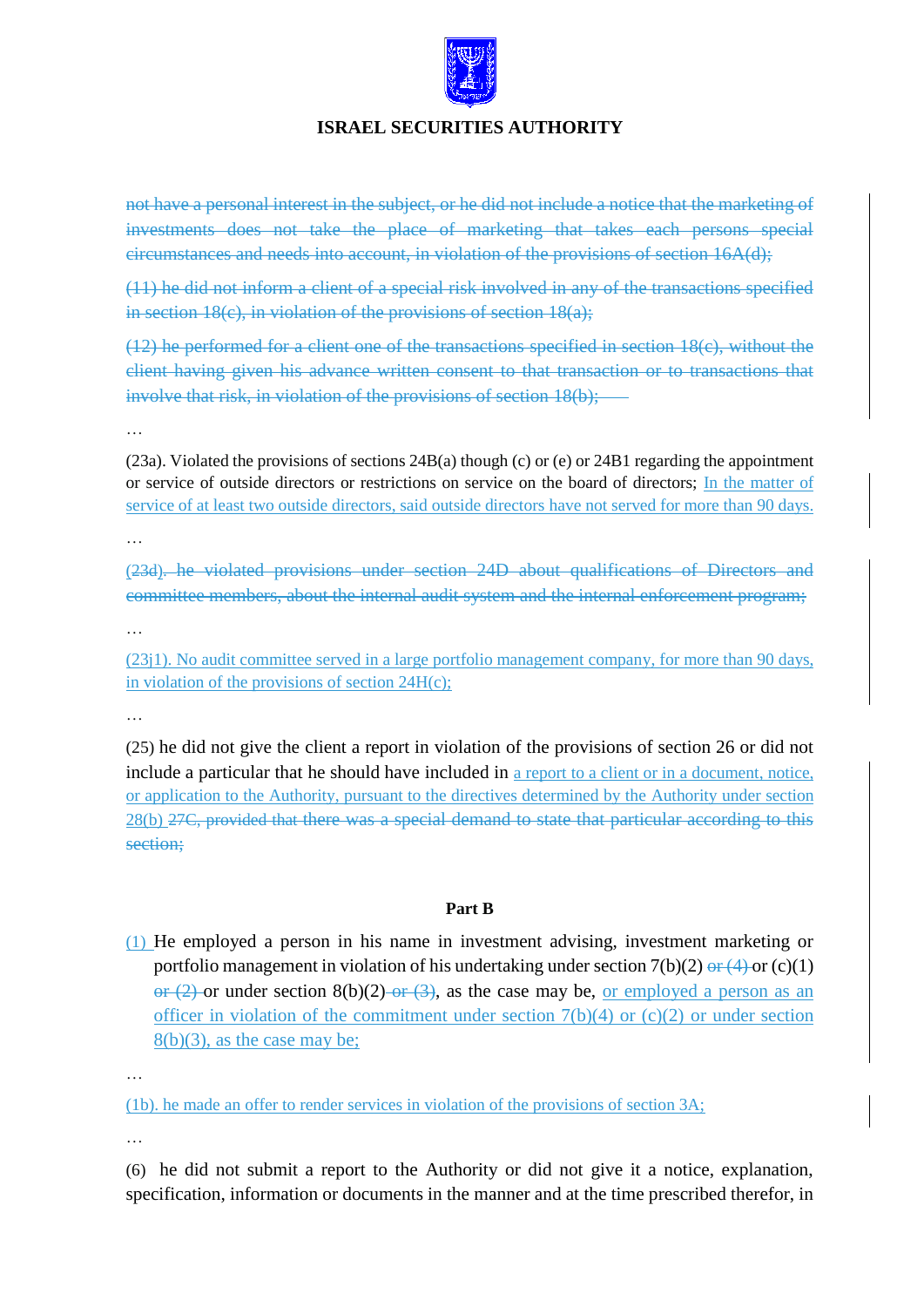

not have a personal interest in the subject, or he did not include a notice that the marketing of investments does not take the place of marketing that takes each persons special circumstances and needs into account, in violation of the provisions of section 16A(d);

(11) he did not inform a client of a special risk involved in any of the transactions specified in section 18(c), in violation of the provisions of section 18(a);

(12) he performed for a client one of the transactions specified in section 18(c), without the client having given his advance written consent to that transaction or to transactions that involve that risk, in violation of the provisions of section 18(b);

…

(23a). Violated the provisions of sections 24B(a) though (c) or (e) or 24B1 regarding the appointment or service of outside directors or restrictions on service on the board of directors; In the matter of service of at least two outside directors, said outside directors have not served for more than 90 days.

…

(23d). he violated provisions under section 24D about qualifications of Directors and committee members, about the internal audit system and the internal enforcement program;

…

(23j1). No audit committee served in a large portfolio management company, for more than 90 days, in violation of the provisions of section 24H(c);

…

(25) he did not give the client a report in violation of the provisions of section 26 or did not include a particular that he should have included in a report to a client or in a document, notice, or application to the Authority, pursuant to the directives determined by the Authority under section 28(b) 27C, provided that there was a special demand to state that particular according to this section;

## **Part B**

(1) He employed a person in his name in investment advising, investment marketing or portfolio management in violation of his undertaking under section  $7(b)(2) \frac{1}{2} (4)$  or (c)(1) or  $(2)$  or under section 8(b)(2) or  $(3)$ , as the case may be, or employed a person as an officer in violation of the commitment under section  $7(b)(4)$  or  $(c)(2)$  or under section  $8(b)(3)$ , as the case may be;

…

(1b). he made an offer to render services in violation of the provisions of section 3A;

…

(6) he did not submit a report to the Authority or did not give it a notice, explanation, specification, information or documents in the manner and at the time prescribed therefor, in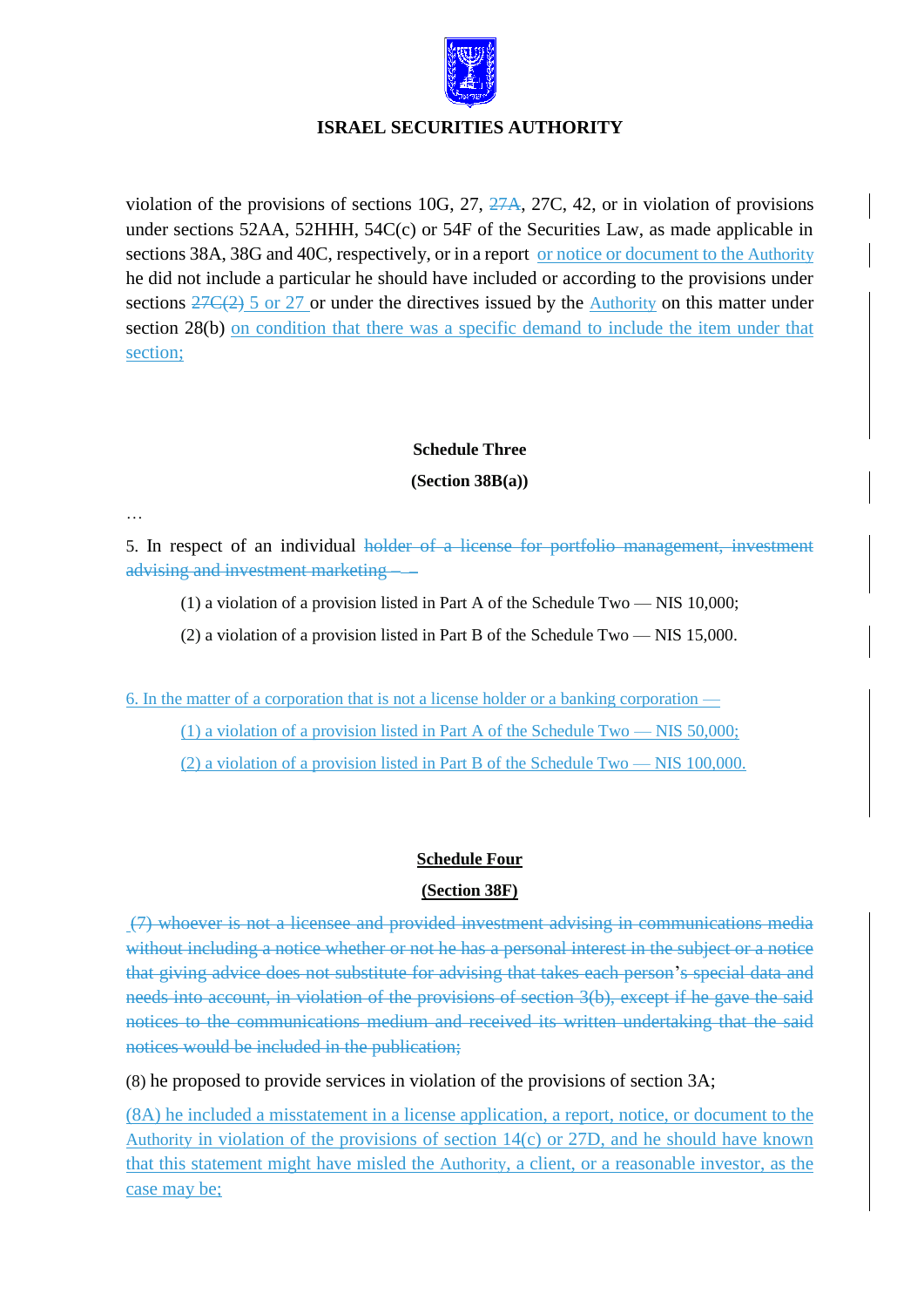

violation of the provisions of sections 10G, 27, 27A, 27C, 42, or in violation of provisions under sections 52AA, 52HHH, 54C(c) or 54F of the Securities Law, as made applicable in sections 38A, 38G and 40C, respectively, or in a report or notice or document to the Authority he did not include a particular he should have included or according to the provisions under sections  $27C(2)$  5 or 27 or under the directives issued by the Authority on this matter under section 28(b) on condition that there was a specific demand to include the item under that section;

# **Schedule Three**

### **(Section 38B(a))**

…

5. In respect of an individual holder of a license for portfolio management, investment advising and investment marketing

- (1) a violation of a provision listed in Part A of the Schedule Two NIS 10,000;
- (2) a violation of a provision listed in Part B of the Schedule Two NIS 15,000.

6. In the matter of a corporation that is not a license holder or a banking corporation —

(1) a violation of a provision listed in Part A of the Schedule Two — NIS 50,000;

(2) a violation of a provision listed in Part B of the Schedule Two — NIS 100,000.

## **Schedule Four**

## **(Section 38F)**

(7) whoever is not a licensee and provided investment advising in communications media without including a notice whether or not he has a personal interest in the subject or a notice that giving advice does not substitute for advising that takes each person's special data and needs into account, in violation of the provisions of section 3(b), except if he gave the said notices to the communications medium and received its written undertaking that the said notices would be included in the publication;

(8) he proposed to provide services in violation of the provisions of section 3A;

(8A) he included a misstatement in a license application, a report, notice, or document to the Authority in violation of the provisions of section 14(c) or 27D, and he should have known that this statement might have misled the Authority, a client, or a reasonable investor, as the case may be;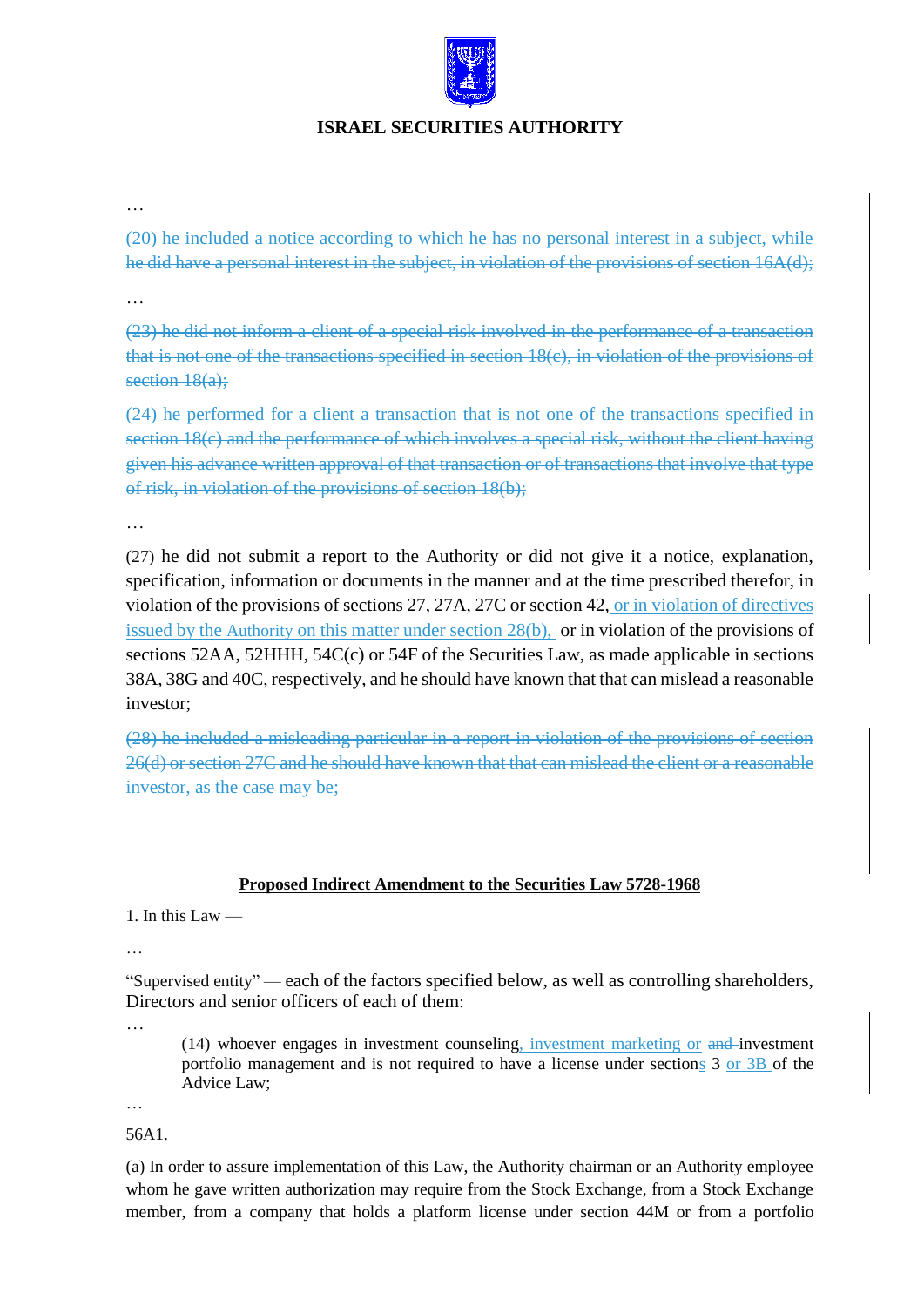

…

(20) he included a notice according to which he has no personal interest in a subject, while he did have a personal interest in the subject, in violation of the provisions of section 16A(d);

…

(23) he did not inform a client of a special risk involved in the performance of a transaction that is not one of the transactions specified in section 18(c), in violation of the provisions of section 18(a);

(24) he performed for a client a transaction that is not one of the transactions specified in section 18(c) and the performance of which involves a special risk, without the client having given his advance written approval of that transaction or of transactions that involve that type of risk, in violation of the provisions of section 18(b);

…

(27) he did not submit a report to the Authority or did not give it a notice, explanation, specification, information or documents in the manner and at the time prescribed therefor, in violation of the provisions of sections 27, 27A, 27C or section 42, or in violation of directives issued by the Authority on this matter under section 28(b), or in violation of the provisions of sections 52AA, 52HHH, 54C(c) or 54F of the Securities Law, as made applicable in sections 38A, 38G and 40C, respectively, and he should have known that that can mislead a reasonable investor;

(28) he included a misleading particular in a report in violation of the provisions of section 26(d) or section 27C and he should have known that that can mislead the client or a reasonable investor, as the case may be;

### **Proposed Indirect Amendment to the Securities Law 5728-1968**

1. In this Law  $-$ 

…

"Supervised entity" — each of the factors specified below, as well as controlling shareholders, Directors and senior officers of each of them:

…

(14) whoever engages in investment counseling, investment marketing or and investment portfolio management and is not required to have a license under sections 3 or 3B of the Advice Law;

…

56A1.

(a) In order to assure implementation of this Law, the Authority chairman or an Authority employee whom he gave written authorization may require from the Stock Exchange, from a Stock Exchange member, from a company that holds a platform license under section 44M or from a portfolio